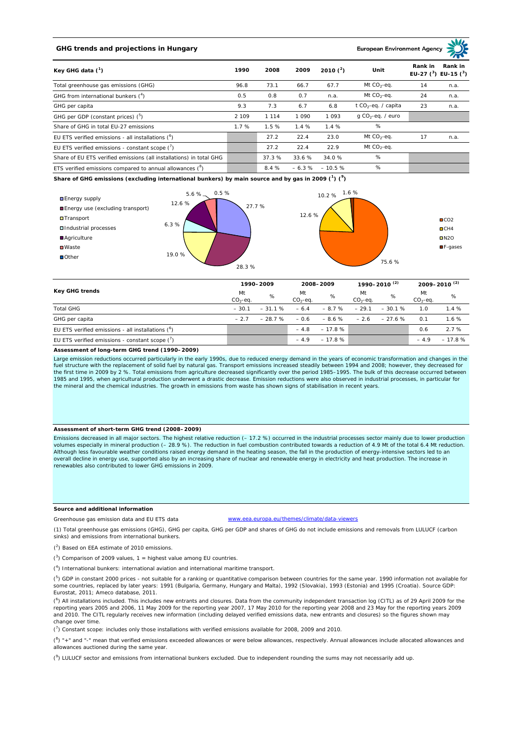# **GHG trends and projections in Hungary**

## **European Environment Ag**

| Key GHG data $(^1)$                                                 | 1990  | 2008    | 2009    | 2010 $(^{2})$ | Unit                            | Rank in<br>Rank in<br>EU-27 $(^3)$ EU-15 $(^3)$ |      |
|---------------------------------------------------------------------|-------|---------|---------|---------------|---------------------------------|-------------------------------------------------|------|
| Total greenhouse gas emissions (GHG)                                | 96.8  | 73.1    | 66.7    | 67.7          | Mt $CO2$ -eq.                   | 14                                              | n.a. |
| GHG from international bunkers $(^4)$                               | 0.5   | 0.8     | 0.7     | n.a.          | Mt $CO_2$ -eq.                  | 24                                              | n.a. |
| GHG per capita                                                      | 9.3   | 7.3     | 6.7     | 6.8           | t CO <sub>2</sub> -eq. / capita | 23                                              | n.a. |
| GHG per GDP (constant prices) $(^5)$                                | 2 109 | 1 1 1 4 | 1 0 9 0 | 1 0 9 3       | $q$ CO <sub>2</sub> -eq. / euro |                                                 |      |
| Share of GHG in total EU-27 emissions                               | 1.7%  | 1.5 %   | 1.4%    | 1.4%          | %                               |                                                 |      |
| EU ETS verified emissions - all installations $(^6)$                |       | 27.2    | 22.4    | 23.0          | Mt $CO_2$ -eq.                  | 17                                              | n.a. |
| EU ETS verified emissions - constant scope $(7)$                    |       | 27.2    | 22.4    | 22.9          | Mt $CO_2$ -eq.                  |                                                 |      |
| Share of EU ETS verified emissions (all installations) in total GHG |       | 37.3 %  | 33.6 %  | 34.0%         | %                               |                                                 |      |
| ETS verified emissions compared to annual allowances $(^8)$         |       | 8.4%    | $-6.3%$ | $-10.5%$      | %                               |                                                 |      |

**Share of GHG emissions (excluding international bunkers) by main source and by gas in 2009 (<sup>1</sup> ) (<sup>9</sup> )**



| <b>Key GHG trends</b>                                |                 | 1990-2009 |                  | 2008-2009 |                  | 1990-2010 <sup>(2)</sup> |                 | 2009-2010 <sup>(2)</sup> |  |
|------------------------------------------------------|-----------------|-----------|------------------|-----------|------------------|--------------------------|-----------------|--------------------------|--|
|                                                      | Mt<br>$CO2-eq.$ | %         | Mt<br>$CO2-ea$ . | %         | Mt<br>$CO2-ea$ . | %                        | Mt<br>$CO2-ea.$ | %                        |  |
| <b>Total GHG</b>                                     | $-30.1$         | $-31.1%$  | $-6.4$           | $-8.7%$   | $-29.1$          | $-30.1%$                 | 1.0             | 1.4%                     |  |
| GHG per capita                                       | $-27$           | $-28.7%$  | $-0.6$           | $-8.6 \%$ | $-2.6$           | $-27.6%$                 | 0.1             | 1.6%                     |  |
| EU ETS verified emissions - all installations $(^6)$ |                 |           | $-4.8$           | $-17.8%$  |                  |                          | 0.6             | 2.7%                     |  |
| EU ETS verified emissions - constant scope $(7)$     |                 |           | $-4.9$           | $-17.8%$  |                  |                          | $-4.9$          | $-17.8%$                 |  |

#### **Assessment of long-term GHG trend (1990–2009)**

Large emission reductions occurred particularly in the early 1990s, due to reduced energy demand in the years of economic transformation and changes in the fuel structure with the replacement of solid fuel by natural gas. Transport emissions increased steadily between 1994 and 2008; however, they decreased for the first time in 2009 by 2 %. Total emissions from agriculture decreased significantly over the period 1985–1995. The bulk of this decrease occurred between<br>1985 and 1995, when agricultural production underwent a drastic the mineral and the chemical industries. The growth in emissions from waste has shown signs of stabilisation in recent years.

#### **Assessment of short-term GHG trend (2008–2009)**

Emissions decreased in all major sectors. The highest relative reduction (– 17.2 %) occurred in the industrial processes sector mainly due to lower production volumes especially in mineral production (– 28.9 %). The reduction in fuel combustion contributed towards a reduction of 4.9 Mt of the total 6.4 Mt reduction. Although less favourable weather conditions raised energy demand in the heating season, the fall in the production of energy-intensive sectors led to an overall decline in energy use, supported also by an increasing share of nuclear and renewable energy in electricity and heat production. The increase in renewables also contributed to lower GHG emissions in 2009.

#### **Source and additional information**

www.eea.europa.eu/themes/climate/data-viewers

(1) Total greenhouse gas emissions (GHG), GHG per capita, GHG per GDP and shares of GHG do not include emissions and removals from LULUCF (carbon sinks) and emissions from international bunkers.

( 2 ) Based on EEA estimate of 2010 emissions.

Greenhouse gas emission data and EU ETS data

 $(3)$  Comparison of 2009 values, 1 = highest value among EU countries.

( 4 ) International bunkers: international aviation and international maritime transport.

 $(^{5})$  GDP in constant 2000 prices - not suitable for a ranking or quantitative comparison between countries for the same year. 1990 information not available for some countries, replaced by later years: 1991 (Bulgaria, Germany, Hungary and Malta), 1992 (Slovakia), 1993 (Estonia) and 1995 (Croatia). Source GDP: Eurostat, 2011; Ameco database, 2011.

(<sup>6</sup>) All installations included. This includes new entrants and closures. Data from the community independent transaction log (CITL) as of 29 April 2009 for the<br>reporting years 2005 and 2006, 11 May 2009 for the reporting and 2010. The CITL regularly receives new information (including delayed verified emissions data, new entrants and closures) so the figures shown may change over time.

 $\binom{7}{1}$  Constant scope: includes only those installations with verified emissions available for 2008, 2009 and 2010.

 $(^{8}$ ) " $+$ " and "-" mean that verified emissions exceeded allowances or were below allowances, respectively. Annual allowances include allocated allowances and allowances auctioned during the same year.

 $(2)$  LULUCF sector and emissions from international bunkers excluded. Due to independent rounding the sums may not necessarily add up.